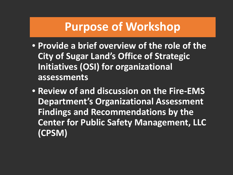### **Purpose of Workshop**

- **Provide a brief overview of the role of the City of Sugar Land's Office of Strategic Initiatives (OSI) for organizational assessments**
- **Review of and discussion on the Fire-EMS Department's Organizational Assessment Findings and Recommendations by the Center for Public Safety Management, LLC (CPSM)**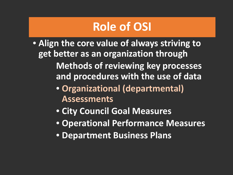## **Role of OSI**

- **Align the core value of always striving to get better as an organization through Methods of reviewing key processes and procedures with the use of data**
	- **Organizational (departmental) Assessments**
	- **City Council Goal Measures**
	- **Operational Performance Measures**
	- **Department Business Plans**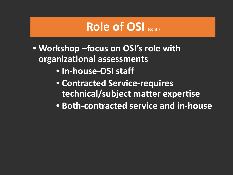### **Role of OSI** (cont.)

- **Workshop –focus on OSI's role with organizational assessments**
	- **In-house-OSI staff**
	- **Contracted Service-requires technical/subject matter expertise**
	- **Both-contracted service and in-house**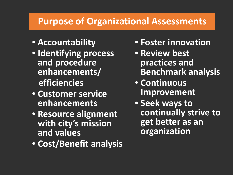#### **Purpose of Organizational Assessments**

- **Accountability**
- **Identifying process and procedure enhancements/ efficiencies**
- **Customer service enhancements**
- **Resource alignment with city's mission and values**
- **Cost/Benefit analysis**
- **Foster innovation**
- **Review best practices and Benchmark analysis**
- **Continuous Improvement**
- **Seek ways to continually strive to get better as an organization**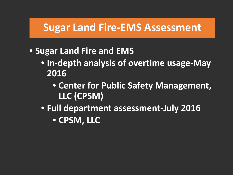### **Sugar Land Fire-EMS Assessment**

- **Sugar Land Fire and EMS** 
	- **In-depth analysis of overtime usage-May 2016**
		- **Center for Public Safety Management, LLC (CPSM)**
	- **Full department assessment-July 2016** • **CPSM, LLC**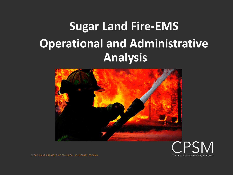# **Sugar Land Fire-EMS Operational and Administrative Analysis**



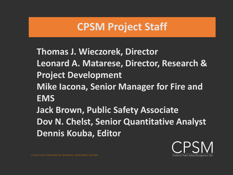### **CPSM Project Staff**

֦

**Thomas J. Wieczorek, Director Leonard A. Matarese, Director, Research & Project Development Mike Iacona, Senior Manager for Fire and EMS Jack Brown, Public Safety Associate Dov N. Chelst, Senior Quantitative Analyst Dennis Kouba, Editor**

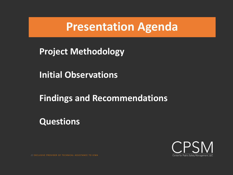### **Presentation Agenda**

**Project Methodology**

**Initial Observations**

**Findings and Recommendations**

**Questions**

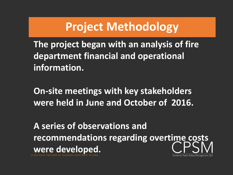### **Project Methodology**

**The project began with an analysis of fire department financial and operational information.**

**On-site meetings with key stakeholders were held in June and October of 2016.**

/ / EXCLUSIVE PROVIDER OF TECHNICAL ASSISTANCE TO ICMA **A series of observations and recommendations regarding overtime costs were developed.**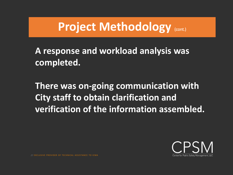### **Project Methodology** (cont.)

#### **A response and workload analysis was completed.**

**There was on-going communication with City staff to obtain clarification and verification of the information assembled.**

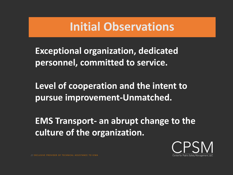### **Initial Observations**

**Exceptional organization, dedicated personnel, committed to service.**

**Level of cooperation and the intent to pursue improvement-Unmatched.**

**EMS Transport- an abrupt change to the culture of the organization.**

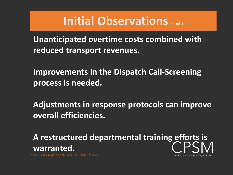### **Initial Observations** (cont.)

**Unanticipated overtime costs combined with reduced transport revenues.**

**Improvements in the Dispatch Call-Screening process is needed.**

**Adjustments in response protocols can improve overall efficiencies.**

**A restructured departmental training efforts is warranted.**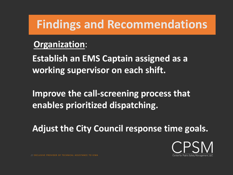#### **Organization**:

**Establish an EMS Captain assigned as a working supervisor on each shift.**

**Improve the call-screening process that enables prioritized dispatching.**

**Adjust the City Council response time goals.**

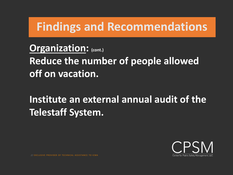**Organization: (cont.) Reduce the number of people allowed off on vacation.** 

**Institute an external annual audit of the Telestaff System.**

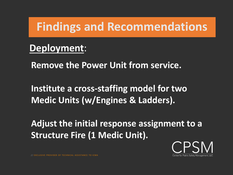### **Deployment**:

**Remove the Power Unit from service.**

**Institute a cross-staffing model for two Medic Units (w/Engines & Ladders).**

**Adjust the initial response assignment to a Structure Fire (1 Medic Unit).**

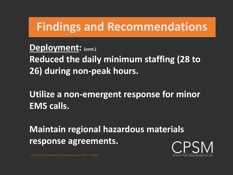**Deployment: (cont.) Reduced the daily minimum staffing (28 to 26) during non-peak hours.** 

**Utilize a non-emergent response for minor EMS calls.**

**Maintain regional hazardous materials response agreements.**

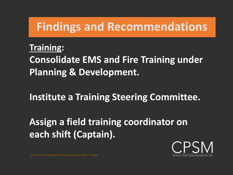#### **Training:**

**Consolidate EMS and Fire Training under Planning & Development.**

**Institute a Training Steering Committee.**

### **Assign a field training coordinator on each shift (Captain).**

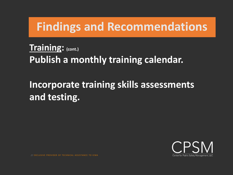**Training: (cont.) Publish a monthly training calendar.**

### **Incorporate training skills assessments and testing.**

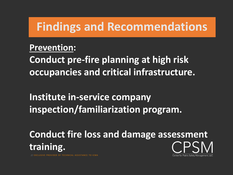#### **Prevention:**

**Conduct pre-fire planning at high risk occupancies and critical infrastructure.**

**Institute in-service company inspection/familiarization program.**

**Conduct fire loss and damage assessment training.**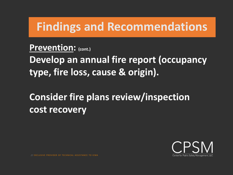Prevention: (cont.)

**Develop an annual fire report (occupancy type, fire loss, cause & origin).**

**Consider fire plans review/inspection cost recovery**

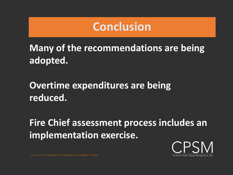### **Conclusion**

**Many of the recommendations are being adopted.**

**Overtime expenditures are being reduced.**

**Fire Chief assessment process includes an implementation exercise.**

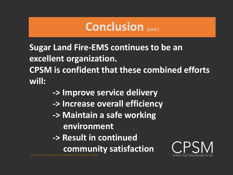### Conclusion (cont.)

**Sugar Land Fire-EMS continues to be an excellent organization. CPSM is confident that these combined efforts will:**

- **-> Improve service delivery**
- **-> Increase overall efficiency**
- **-> Maintain a safe working environment**
- **-> Result in continued** 
	- **community satisfaction**